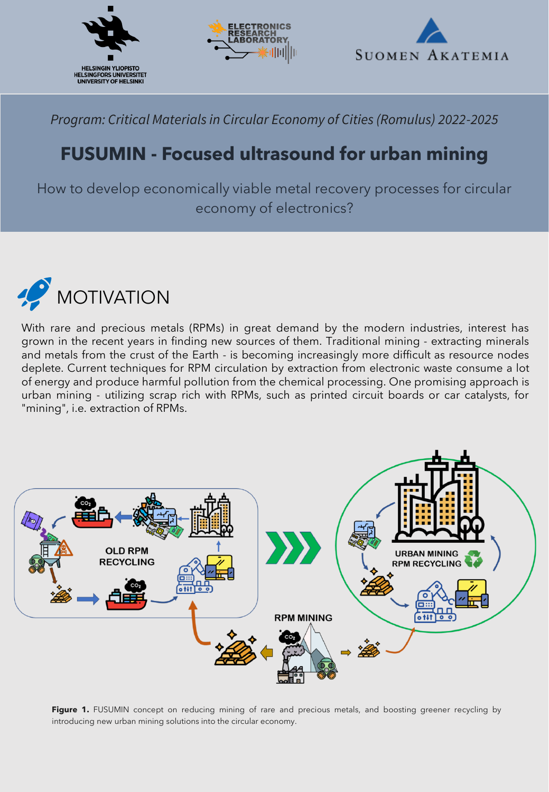



*Program: Critical Materials in Circular Economy of Cities (Romulus) 2022-2025*

## **FUSUMIN - Focused ultrasound for urban mining**

How to develop economically viable metal recovery processes for circular economy of electronics?



With rare and precious metals (RPMs) in great demand by the modern industries, interest has grown in the recent years in finding new sources of them. Traditional mining - extracting minerals and metals from the crust of the Earth - is becoming increasingly more difficult as resource nodes deplete. Current techniques for RPM circulation by extraction from electronic waste consume a lot of energy and produce harmful pollution from the chemical processing. One promising approach is urban mining - utilizing scrap rich with RPMs, such as printed circuit boards or car catalysts, for "mining", i.e. extraction of RPMs.



**Figure 1.** FUSUMIN concept on reducing mining of rare and precious metals, and boosting greener recycling by introducing new urban mining solutions into the circular economy.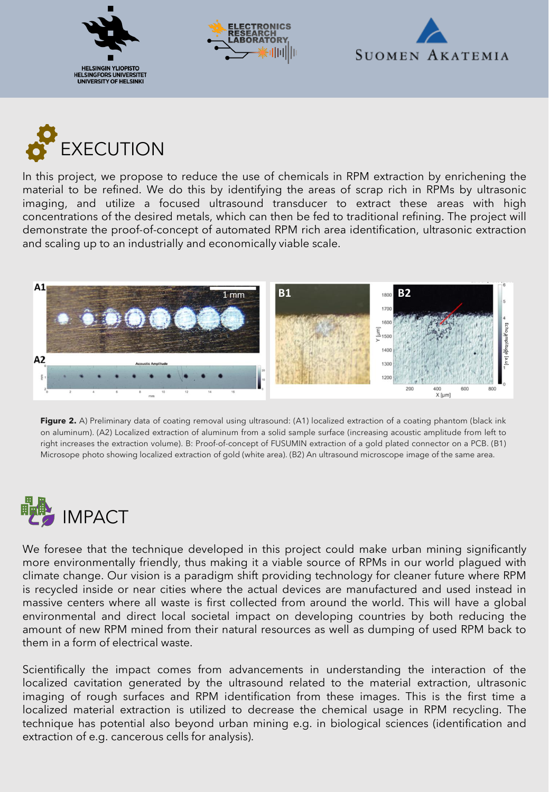







In this project, we propose to reduce the use of chemicals in RPM extraction by enrichening the material to be refined. We do this by identifying the areas of scrap rich in RPMs by ultrasonic imaging, and utilize a focused ultrasound transducer to extract these areas with high concentrations of the desired metals, which can then be fed to traditional refining. The project will demonstrate the proof-of-concept of automated RPM rich area identification, ultrasonic extraction and scaling up to an industrially and economically viable scale.



**Figure 2.** A) Preliminary data of coating removal using ultrasound: (A1) localized extraction of a coating phantom (black ink on aluminum). (A2) Localized extraction of aluminum from a solid sample surface (increasing acoustic amplitude from left to right increases the extraction volume). B: Proof-of-concept of FUSUMIN extraction of a gold plated connector on a PCB. (B1) Microsope photo showing localized extraction of gold (white area). (B2) An ultrasound microscope image of the same area.



We foresee that the technique developed in this project could make urban mining significantly more environmentally friendly, thus making it a viable source of RPMs in our world plagued with climate change. Our vision is a paradigm shift providing technology for cleaner future where RPM is recycled inside or near cities where the actual devices are manufactured and used instead in massive centers where all waste is first collected from around the world. This will have a global environmental and direct local societal impact on developing countries by both reducing the amount of new RPM mined from their natural resources as well as dumping of used RPM back to them in a form of electrical waste.

Scientifically the impact comes from advancements in understanding the interaction of the localized cavitation generated by the ultrasound related to the material extraction, ultrasonic imaging of rough surfaces and RPM identification from these images. This is the first time a localized material extraction is utilized to decrease the chemical usage in RPM recycling. The technique has potential also beyond urban mining e.g. in biological sciences (identification and extraction of e.g. cancerous cells for analysis).